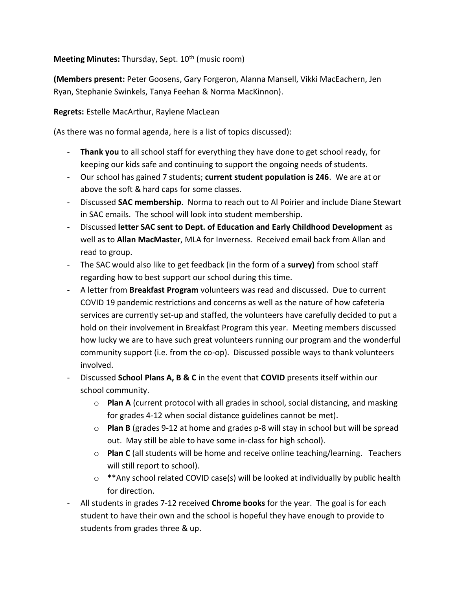## **Meeting Minutes:** Thursday, Sept. 10<sup>th</sup> (music room)

**(Members present:** Peter Goosens, Gary Forgeron, Alanna Mansell, Vikki MacEachern, Jen Ryan, Stephanie Swinkels, Tanya Feehan & Norma MacKinnon).

**Regrets:** Estelle MacArthur, Raylene MacLean

(As there was no formal agenda, here is a list of topics discussed):

- **Thank you** to all school staff for everything they have done to get school ready, for keeping our kids safe and continuing to support the ongoing needs of students.
- Our school has gained 7 students; **current student population is 246**. We are at or above the soft & hard caps for some classes.
- Discussed **SAC membership**. Norma to reach out to Al Poirier and include Diane Stewart in SAC emails. The school will look into student membership.
- Discussed **letter SAC sent to Dept. of Education and Early Childhood Development** as well as to **Allan MacMaster**, MLA for Inverness. Received email back from Allan and read to group.
- The SAC would also like to get feedback (in the form of a **survey)** from school staff regarding how to best support our school during this time.
- A letter from **Breakfast Program** volunteers was read and discussed. Due to current COVID 19 pandemic restrictions and concerns as well as the nature of how cafeteria services are currently set-up and staffed, the volunteers have carefully decided to put a hold on their involvement in Breakfast Program this year. Meeting members discussed how lucky we are to have such great volunteers running our program and the wonderful community support (i.e. from the co-op). Discussed possible ways to thank volunteers involved.
- Discussed **School Plans A, B & C** in the event that **COVID** presents itself within our school community.
	- o **Plan A** (current protocol with all grades in school, social distancing, and masking for grades 4-12 when social distance guidelines cannot be met).
	- o **Plan B** (grades 9-12 at home and grades p-8 will stay in school but will be spread out. May still be able to have some in-class for high school).
	- o **Plan C** (all students will be home and receive online teaching/learning. Teachers will still report to school).
	- $\circ$  \*\*Any school related COVID case(s) will be looked at individually by public health for direction.
- All students in grades 7-12 received **Chrome books** for the year. The goal is for each student to have their own and the school is hopeful they have enough to provide to students from grades three & up.